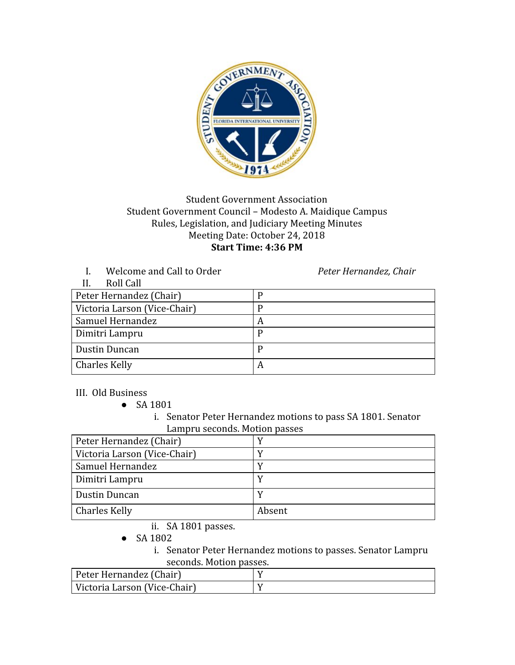

## Student Government Association Student Government Council – Modesto A. Maidique Campus Rules, Legislation, and Judiciary Meeting Minutes Meeting Date: October 24, 2018 **Start Time: 4:36 PM**

I. Welcome and Call to Order *Peter Hernandez, Chair*

| Roll Call<br>Н.              |   |
|------------------------------|---|
| Peter Hernandez (Chair)      |   |
| Victoria Larson (Vice-Chair) |   |
| Samuel Hernandez             |   |
| Dimitri Lampru               |   |
| <b>Dustin Duncan</b>         |   |
| <b>Charles Kelly</b>         | A |

III. Old Business

● SA 1801

i. Senator Peter Hernandez motions to pass SA 1801. Senator Lampru seconds. Motion passes

| Peter Hernandez (Chair)      |        |
|------------------------------|--------|
| Victoria Larson (Vice-Chair) |        |
| Samuel Hernandez             |        |
| Dimitri Lampru               |        |
| Dustin Duncan                |        |
| <b>Charles Kelly</b>         | Absent |

ii. SA 1801 passes.

● SA 1802

i. Senator Peter Hernandez motions to passes. Senator Lampru seconds. Motion passes.

| Peter Hernandez (Chair)      |  |
|------------------------------|--|
| Victoria Larson (Vice-Chair) |  |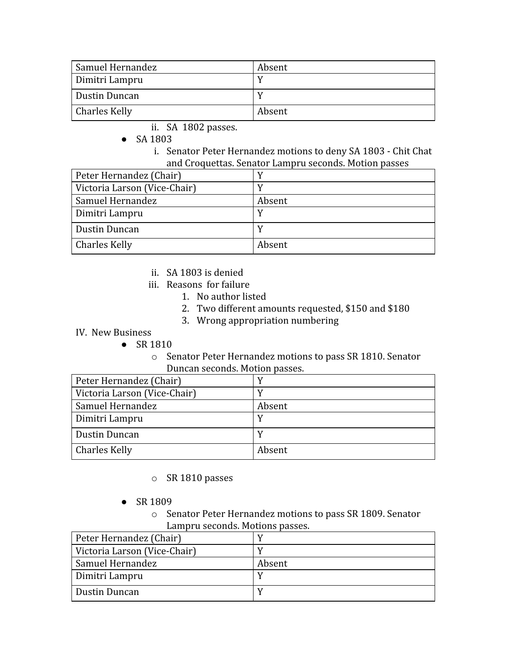| Samuel Hernandez     | Absent |
|----------------------|--------|
| Dimitri Lampru       |        |
| Dustin Duncan        |        |
| <b>Charles Kelly</b> | Absent |

- ii. SA 1802 passes.
- SA 1803
	- i. Senator Peter Hernandez motions to deny SA 1803 Chit Chat and Croquettas. Senator Lampru seconds. Motion passes

| Peter Hernandez (Chair)      |        |
|------------------------------|--------|
| Victoria Larson (Vice-Chair) |        |
| Samuel Hernandez             | Absent |
| Dimitri Lampru               |        |
| Dustin Duncan                |        |
| Charles Kelly                | Absent |

- ii. SA 1803 is denied
- iii. Reasons for failure
	- 1. No author listed
	- 2. Two different amounts requested, \$150 and \$180
	- 3. Wrong appropriation numbering
- IV. New Business
	- SR 1810
		- o Senator Peter Hernandez motions to pass SR 1810. Senator Duncan seconds. Motion passes.

| Peter Hernandez (Chair)      |        |
|------------------------------|--------|
| Victoria Larson (Vice-Chair) |        |
| Samuel Hernandez             | Absent |
| Dimitri Lampru               |        |
| Dustin Duncan                |        |
| <b>Charles Kelly</b>         | Absent |

- o SR 1810 passes
- SR 1809
	- o Senator Peter Hernandez motions to pass SR 1809. Senator Lampru seconds. Motions passes.

| Peter Hernandez (Chair)      |        |
|------------------------------|--------|
| Victoria Larson (Vice-Chair) |        |
| Samuel Hernandez             | Absent |
| Dimitri Lampru               |        |
| Dustin Duncan                |        |